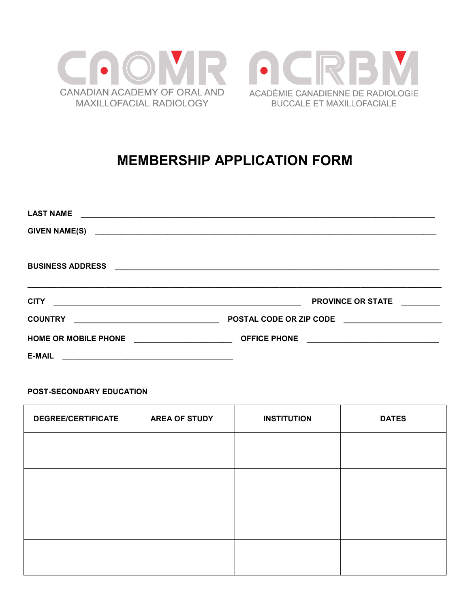



# **MEMBERSHIP APPLICATION FORM**

| <b>LAST NAME</b>                                                                                                                    |                                                                     |
|-------------------------------------------------------------------------------------------------------------------------------------|---------------------------------------------------------------------|
| <b>GIVEN NAME(S)</b>                                                                                                                |                                                                     |
|                                                                                                                                     |                                                                     |
| <b>BUSINESS ADDRESS</b>                                                                                                             |                                                                     |
| <u> 1989 - Johann Stoff, amerikansk politiker (d. 1989)</u>                                                                         |                                                                     |
| <b>CITY</b><br><u> 1990 - Jan James James James James James James James James James James James James James James James James J</u> | <b>PROVINCE OR STATE</b>                                            |
| <u> 1989 - Johann Barbara, martin amerikan basal da</u><br><b>COUNTRY</b>                                                           | POSTAL CODE OR ZIP CODE<br><u> 1980 - Jan Barbara Barat, manala</u> |
| <b>HOME OR MOBILE PHONE</b><br><u> 1989 - Johann Barbara, martin d</u>                                                              |                                                                     |
| <b>E-MAIL</b><br><u> 1989 - Jan Barnett, fransk politiker (d. 1989)</u>                                                             |                                                                     |

## POST-SECONDARY EDUCATION

| <b>DEGREE/CERTIFICATE</b> | <b>AREA OF STUDY</b> | <b>INSTITUTION</b> | <b>DATES</b> |
|---------------------------|----------------------|--------------------|--------------|
|                           |                      |                    |              |
|                           |                      |                    |              |
|                           |                      |                    |              |
|                           |                      |                    |              |
|                           |                      |                    |              |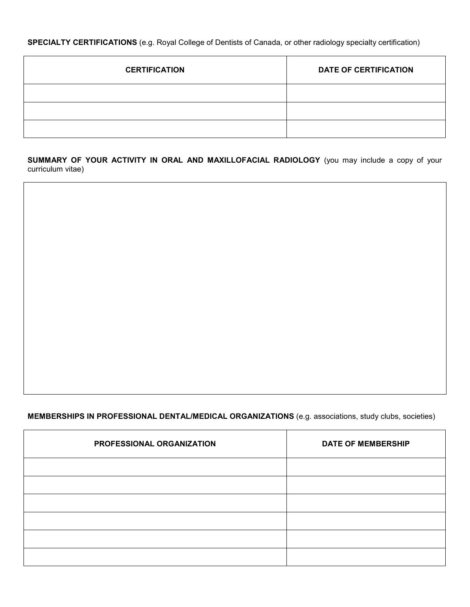**SPECIALTY CERTIFICATIONS** (e.g. Royal College of Dentists of Canada, or other radiology specialty certification)

| <b>CERTIFICATION</b> | <b>DATE OF CERTIFICATION</b> |
|----------------------|------------------------------|
|                      |                              |
|                      |                              |
|                      |                              |

**SUMMARY OF YOUR ACTIVITY IN ORAL AND MAXILLOFACIAL RADIOLOGY** (you may include a copy of your curriculum vitae)

# **MEMBERSHIPS IN PROFESSIONAL DENTAL/MEDICAL ORGANIZATIONS** (e.g. associations, study clubs, societies)

| PROFESSIONAL ORGANIZATION | <b>DATE OF MEMBERSHIP</b> |
|---------------------------|---------------------------|
|                           |                           |
|                           |                           |
|                           |                           |
|                           |                           |
|                           |                           |
|                           |                           |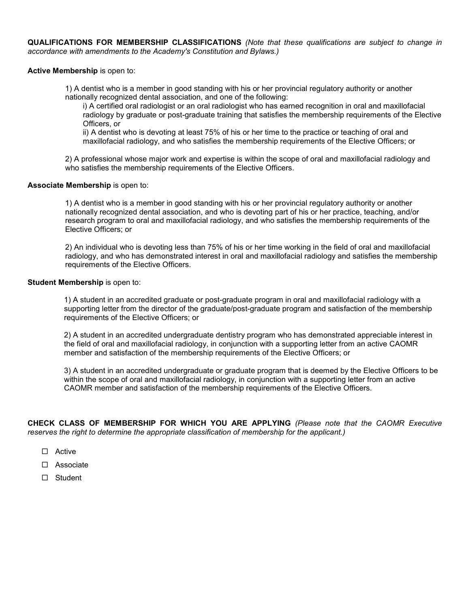**QUALIFICATIONS FOR MEMBERSHIP CLASSIFICATIONS** *(Note that these qualifications are subject to change in accordance with amendments to the Academy's Constitution and Bylaws.)*

**Active Membership** is open to:

1) A dentist who is a member in good standing with his or her provincial regulatory authority or another nationally recognized dental association, and one of the following:

i) A certified oral radiologist or an oral radiologist who has earned recognition in oral and maxillofacial radiology by graduate or post-graduate training that satisfies the membership requirements of the Elective Officers, or

ii) A dentist who is devoting at least 75% of his or her time to the practice or teaching of oral and maxillofacial radiology, and who satisfies the membership requirements of the Elective Officers; or

2) A professional whose major work and expertise is within the scope of oral and maxillofacial radiology and who satisfies the membership requirements of the Elective Officers.

#### **Associate Membership** is open to:

1) A dentist who is a member in good standing with his or her provincial regulatory authority or another nationally recognized dental association, and who is devoting part of his or her practice, teaching, and/or research program to oral and maxillofacial radiology, and who satisfies the membership requirements of the Elective Officers; or

2) An individual who is devoting less than 75% of his or her time working in the field of oral and maxillofacial radiology, and who has demonstrated interest in oral and maxillofacial radiology and satisfies the membership requirements of the Elective Officers.

#### **Student Membership** is open to:

1) A student in an accredited graduate or post-graduate program in oral and maxillofacial radiology with a supporting letter from the director of the graduate/post-graduate program and satisfaction of the membership requirements of the Elective Officers; or

2) A student in an accredited undergraduate dentistry program who has demonstrated appreciable interest in the field of oral and maxillofacial radiology, in conjunction with a supporting letter from an active CAOMR member and satisfaction of the membership requirements of the Elective Officers; or

3) A student in an accredited undergraduate or graduate program that is deemed by the Elective Officers to be within the scope of oral and maxillofacial radiology, in conjunction with a supporting letter from an active CAOMR member and satisfaction of the membership requirements of the Elective Officers.

**CHECK CLASS OF MEMBERSHIP FOR WHICH YOU ARE APPLYING** *(Please note that the CAOMR Executive reserves the right to determine the appropriate classification of membership for the applicant.)* 

- Active
- □ Associate
- □ Student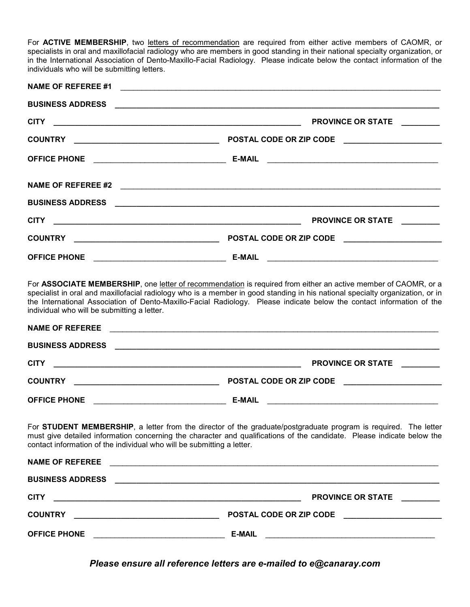For ACTIVE MEMBERSHIP, two letters of recommendation are required from either active members of CAOMR, or specialists in oral and maxillofacial radiology who are members in good standing in their national specialty organization, or in the International Association of Dento-Maxillo-Facial Radiology. Please indicate below the contact information of the individuals who will be submitting letters.

| <b>NAME OF REFEREE #1</b>                                              |                                                                                                                                                                                                                                                                                                                                                                          |
|------------------------------------------------------------------------|--------------------------------------------------------------------------------------------------------------------------------------------------------------------------------------------------------------------------------------------------------------------------------------------------------------------------------------------------------------------------|
| <b>BUSINESS ADDRESS</b>                                                |                                                                                                                                                                                                                                                                                                                                                                          |
| <b>CITY</b>                                                            | <b>PROVINCE OR STATE</b>                                                                                                                                                                                                                                                                                                                                                 |
|                                                                        | POSTAL CODE OR ZIP CODE ______________________                                                                                                                                                                                                                                                                                                                           |
| <b>OFFICE PHONE</b>                                                    | <b>E-MAIL</b>                                                                                                                                                                                                                                                                                                                                                            |
|                                                                        | NAME OF REFEREE #2                                                                                                                                                                                                                                                                                                                                                       |
|                                                                        |                                                                                                                                                                                                                                                                                                                                                                          |
| <b>CITY</b>                                                            | <b>PROVINCE OR STATE</b><br><u> 1944 - Andrea Barbara, martxar a componente de la contrada de la contrada de la contrada de la contrada de l</u>                                                                                                                                                                                                                         |
|                                                                        |                                                                                                                                                                                                                                                                                                                                                                          |
| <b>OFFICE PHONE</b>                                                    | <u> 1989 - Johann Barbara, martin amerikan basa</u><br><b>E-MAIL</b><br><u> 1999 - Johann John Stein, mars an deutscher Stein († 1958)</u>                                                                                                                                                                                                                               |
| individual who will be submitting a letter.                            | For ASSOCIATE MEMBERSHIP, one letter of recommendation is required from either an active member of CAOMR, or a<br>specialist in oral and maxillofacial radiology who is a member in good standing in his national specialty organization, or in<br>the International Association of Dento-Maxillo-Facial Radiology. Please indicate below the contact information of the |
| <b>NAME OF REFEREE</b>                                                 |                                                                                                                                                                                                                                                                                                                                                                          |
| <b>BUSINESS ADDRESS</b>                                                |                                                                                                                                                                                                                                                                                                                                                                          |
| <b>CITY</b>                                                            | <b>PROVINCE OR STATE</b><br><u> 1980 - Jan Barbara de Santo de Santo de Santo de Santo de Santo de Santo de Santo de Santo de Santo de San</u>                                                                                                                                                                                                                           |
| <b>COUNTRY</b>                                                         | POSTAL CODE OR ZIP CODE ______________________<br><u> 1989 - Johann John Stein, mars an deus Amerikaansk kommunister (</u>                                                                                                                                                                                                                                               |
| <b>OFFICE PHONE</b>                                                    | <b>E-MAIL</b><br><u> 1990 - Johann Barbara, martin amerikan ba</u><br><u> 1990 - Johann John Stein, mars an deus Frankrik (f. 1918)</u>                                                                                                                                                                                                                                  |
| contact information of the individual who will be submitting a letter. | For STUDENT MEMBERSHIP, a letter from the director of the graduate/postgraduate program is required. The letter<br>must give detailed information concerning the character and qualifications of the candidate. Please indicate below the                                                                                                                                |

| <b>NAME OF REFEREE</b>                                                                                               | <u> 1990 - Jan James James James James James James James James James James James James James James James James J</u> |
|----------------------------------------------------------------------------------------------------------------------|----------------------------------------------------------------------------------------------------------------------|
| <b>BUSINESS ADDRESS</b>                                                                                              |                                                                                                                      |
| <b>CITY</b>                                                                                                          | <b>PROVINCE OR STATE</b>                                                                                             |
| <u> 1989 - Andrea Stadt Britain, amerikan berlandar berlandar berlanda berlanda berlanda dalam berlanda berlanda</u> |                                                                                                                      |
| <b>COUNTRY</b>                                                                                                       | <b>POSTAL CODE OR ZIP CODE</b>                                                                                       |
| <u> 2000 - 2000 - 2000 - 2000 - 2000 - 2000 - 2000 - 2000 - 2000 - 2000 - 2000 - 2000 - 2000 - 2000 - 2000 - 200</u> |                                                                                                                      |
| <b>OFFICE PHONE</b>                                                                                                  | <b>E-MAIL</b>                                                                                                        |
| <u> 1980 - Johann Stein, mars an t-Amerikaansk kommunist (</u>                                                       | <u> 1980 - John Stone, Amerikaansk politiker (</u>                                                                   |

*Please ensure all reference letters are e-mailed to e@canaray.com*